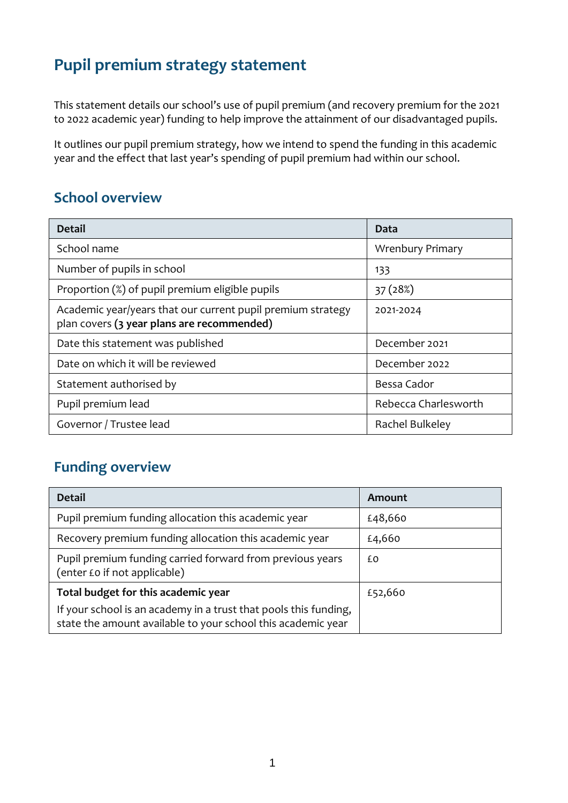# **Pupil premium strategy statement**

This statement details our school's use of pupil premium (and recovery premium for the 2021 to 2022 academic year) funding to help improve the attainment of our disadvantaged pupils.

It outlines our pupil premium strategy, how we intend to spend the funding in this academic year and the effect that last year's spending of pupil premium had within our school.

#### **School overview**

| <b>Detail</b>                                                                                             | Data                    |
|-----------------------------------------------------------------------------------------------------------|-------------------------|
| School name                                                                                               | <b>Wrenbury Primary</b> |
| Number of pupils in school                                                                                | 133                     |
| Proportion (%) of pupil premium eligible pupils                                                           | 37 (28%)                |
| Academic year/years that our current pupil premium strategy<br>plan covers (3 year plans are recommended) | 2021-2024               |
| Date this statement was published                                                                         | December 2021           |
| Date on which it will be reviewed                                                                         | December 2022           |
| Statement authorised by                                                                                   | Bessa Cador             |
| Pupil premium lead                                                                                        | Rebecca Charlesworth    |
| Governor / Trustee lead                                                                                   | Rachel Bulkeley         |

### **Funding overview**

| <b>Detail</b>                                                                                                                    | Amount  |
|----------------------------------------------------------------------------------------------------------------------------------|---------|
| Pupil premium funding allocation this academic year                                                                              | £48,660 |
| Recovery premium funding allocation this academic year                                                                           | £4,660  |
| Pupil premium funding carried forward from previous years<br>(enter £0 if not applicable)                                        | £Ο      |
| Total budget for this academic year                                                                                              | £52,660 |
| If your school is an academy in a trust that pools this funding,<br>state the amount available to your school this academic year |         |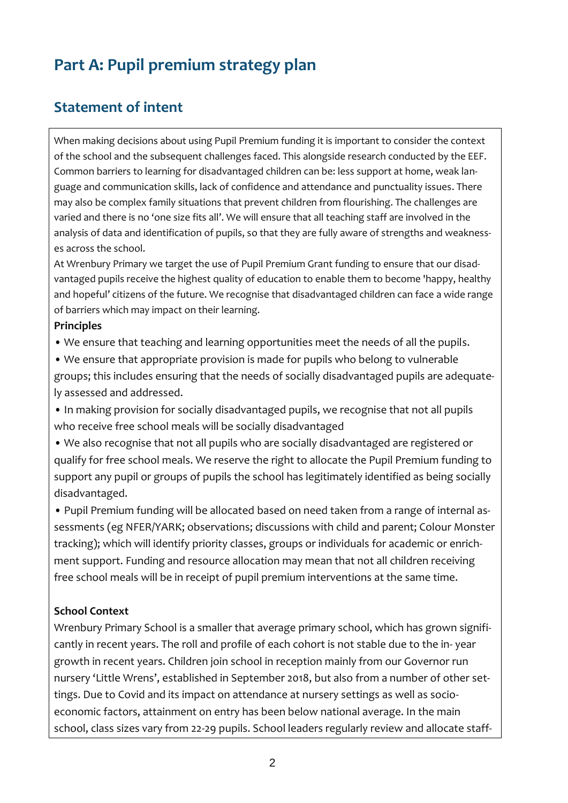# **Part A: Pupil premium strategy plan**

#### **Statement of intent**

When making decisions about using Pupil Premium funding it is important to consider the context of the school and the subsequent challenges faced. This alongside research conducted by the EEF. Common barriers to learning for disadvantaged children can be: less support at home, weak language and communication skills, lack of confidence and attendance and punctuality issues. There may also be complex family situations that prevent children from flourishing. The challenges are varied and there is no 'one size fits all'. We will ensure that all teaching staff are involved in the analysis of data and identification of pupils, so that they are fully aware of strengths and weaknesses across the school.

At Wrenbury Primary we target the use of Pupil Premium Grant funding to ensure that our disadvantaged pupils receive the highest quality of education to enable them to become 'happy, healthy and hopeful' citizens of the future. We recognise that disadvantaged children can face a wide range of barriers which may impact on their learning.

#### **Principles**

• We ensure that teaching and learning opportunities meet the needs of all the pupils.

• We ensure that appropriate provision is made for pupils who belong to vulnerable groups; this includes ensuring that the needs of socially disadvantaged pupils are adequately assessed and addressed.

• In making provision for socially disadvantaged pupils, we recognise that not all pupils who receive free school meals will be socially disadvantaged

• We also recognise that not all pupils who are socially disadvantaged are registered or qualify for free school meals. We reserve the right to allocate the Pupil Premium funding to support any pupil or groups of pupils the school has legitimately identified as being socially disadvantaged.

• Pupil Premium funding will be allocated based on need taken from a range of internal assessments (eg NFER/YARK; observations; discussions with child and parent; Colour Monster tracking); which will identify priority classes, groups or individuals for academic or enrichment support. Funding and resource allocation may mean that not all children receiving free school meals will be in receipt of pupil premium interventions at the same time.

#### **School Context**

Wrenbury Primary School is a smaller that average primary school, which has grown significantly in recent years. The roll and profile of each cohort is not stable due to the in- year growth in recent years. Children join school in reception mainly from our Governor run nursery 'Little Wrens', established in September 2018, but also from a number of other settings. Due to Covid and its impact on attendance at nursery settings as well as socioeconomic factors, attainment on entry has been below national average. In the main school, class sizes vary from 22-29 pupils. School leaders regularly review and allocate staff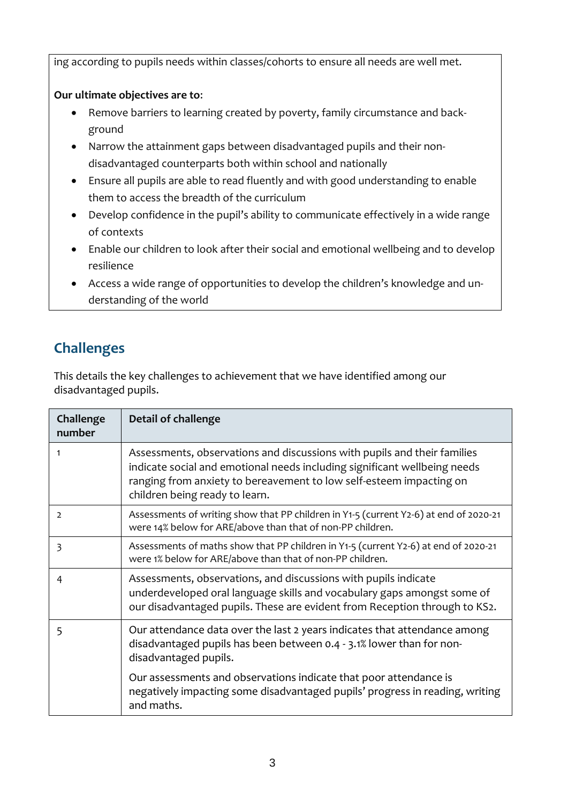ing according to pupils needs within classes/cohorts to ensure all needs are well met.

#### **Our ultimate objectives are to**:

- Remove barriers to learning created by poverty, family circumstance and background
- Narrow the attainment gaps between disadvantaged pupils and their nondisadvantaged counterparts both within school and nationally
- Ensure all pupils are able to read fluently and with good understanding to enable them to access the breadth of the curriculum
- Develop confidence in the pupil's ability to communicate effectively in a wide range of contexts
- Enable our children to look after their social and emotional wellbeing and to develop resilience
- Access a wide range of opportunities to develop the children's knowledge and understanding of the world

## **Challenges**

This details the key challenges to achievement that we have identified among our disadvantaged pupils.

| Challenge<br>number | <b>Detail of challenge</b>                                                                                                                                                                                                                                     |
|---------------------|----------------------------------------------------------------------------------------------------------------------------------------------------------------------------------------------------------------------------------------------------------------|
| 1                   | Assessments, observations and discussions with pupils and their families<br>indicate social and emotional needs including significant wellbeing needs<br>ranging from anxiety to bereavement to low self-esteem impacting on<br>children being ready to learn. |
| 2                   | Assessments of writing show that PP children in Y1-5 (current Y2-6) at end of 2020-21<br>were 14% below for ARE/above than that of non-PP children.                                                                                                            |
| 3                   | Assessments of maths show that PP children in Y1-5 (current Y2-6) at end of 2020-21<br>were 1% below for ARE/above than that of non-PP children.                                                                                                               |
| 4                   | Assessments, observations, and discussions with pupils indicate<br>underdeveloped oral language skills and vocabulary gaps amongst some of<br>our disadvantaged pupils. These are evident from Reception through to KS2.                                       |
| 5                   | Our attendance data over the last 2 years indicates that attendance among<br>disadvantaged pupils has been between 0.4 - 3.1% lower than for non-<br>disadvantaged pupils.                                                                                     |
|                     | Our assessments and observations indicate that poor attendance is<br>negatively impacting some disadvantaged pupils' progress in reading, writing<br>and maths.                                                                                                |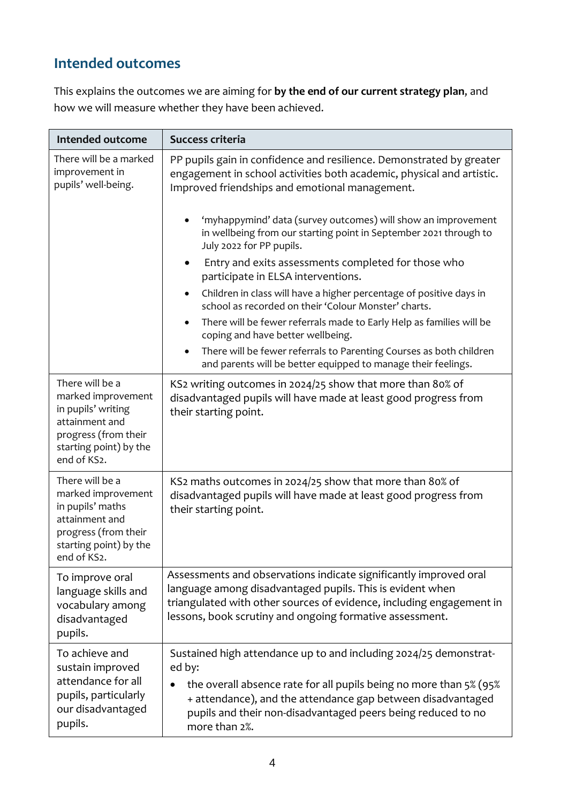## **Intended outcomes**

This explains the outcomes we are aiming for **by the end of our current strategy plan**, and how we will measure whether they have been achieved.

| Intended outcome                                                                                                                               | Success criteria                                                                                                                                                                                                                                                                                                                                                                                                                                                                                                                                                                                                                                                                                                                                                                                                                                                                          |  |  |
|------------------------------------------------------------------------------------------------------------------------------------------------|-------------------------------------------------------------------------------------------------------------------------------------------------------------------------------------------------------------------------------------------------------------------------------------------------------------------------------------------------------------------------------------------------------------------------------------------------------------------------------------------------------------------------------------------------------------------------------------------------------------------------------------------------------------------------------------------------------------------------------------------------------------------------------------------------------------------------------------------------------------------------------------------|--|--|
| There will be a marked<br>improvement in<br>pupils' well-being.                                                                                | PP pupils gain in confidence and resilience. Demonstrated by greater<br>engagement in school activities both academic, physical and artistic.<br>Improved friendships and emotional management.<br>'myhappymind' data (survey outcomes) will show an improvement<br>in wellbeing from our starting point in September 2021 through to<br>July 2022 for PP pupils.<br>Entry and exits assessments completed for those who<br>$\bullet$<br>participate in ELSA interventions.<br>Children in class will have a higher percentage of positive days in<br>$\bullet$<br>school as recorded on their 'Colour Monster' charts.<br>There will be fewer referrals made to Early Help as families will be<br>$\bullet$<br>coping and have better wellbeing.<br>There will be fewer referrals to Parenting Courses as both children<br>and parents will be better equipped to manage their feelings. |  |  |
| There will be a<br>marked improvement<br>in pupils' writing<br>attainment and<br>progress (from their<br>starting point) by the<br>end of KS2. | KS2 writing outcomes in 2024/25 show that more than 80% of<br>disadvantaged pupils will have made at least good progress from<br>their starting point.                                                                                                                                                                                                                                                                                                                                                                                                                                                                                                                                                                                                                                                                                                                                    |  |  |
| There will be a<br>marked improvement<br>in pupils' maths<br>attainment and<br>progress (from their<br>starting point) by the<br>end of KS2.   | KS2 maths outcomes in 2024/25 show that more than 80% of<br>disadvantaged pupils will have made at least good progress from<br>their starting point.                                                                                                                                                                                                                                                                                                                                                                                                                                                                                                                                                                                                                                                                                                                                      |  |  |
| To improve oral<br>language skills and<br>vocabulary among<br>disadvantaged<br>pupils.                                                         | Assessments and observations indicate significantly improved oral<br>language among disadvantaged pupils. This is evident when<br>triangulated with other sources of evidence, including engagement in<br>lessons, book scrutiny and ongoing formative assessment.                                                                                                                                                                                                                                                                                                                                                                                                                                                                                                                                                                                                                        |  |  |
| To achieve and<br>sustain improved<br>attendance for all<br>pupils, particularly<br>our disadvantaged<br>pupils.                               | Sustained high attendance up to and including 2024/25 demonstrat-<br>ed by:<br>the overall absence rate for all pupils being no more than 5% (95%)<br>+ attendance), and the attendance gap between disadvantaged<br>pupils and their non-disadvantaged peers being reduced to no<br>more than 2%.                                                                                                                                                                                                                                                                                                                                                                                                                                                                                                                                                                                        |  |  |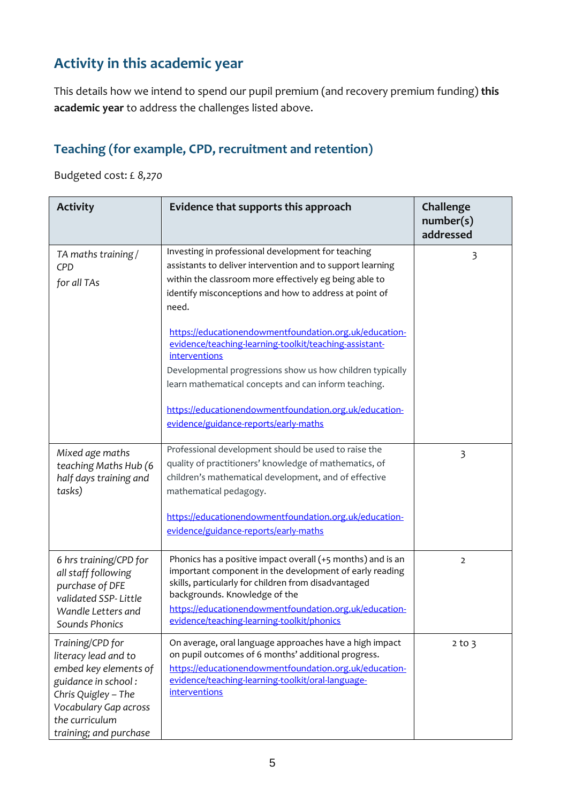## **Activity in this academic year**

This details how we intend to spend our pupil premium (and recovery premium funding) **this academic year** to address the challenges listed above.

#### **Teaching (for example, CPD, recruitment and retention)**

Budgeted cost: £ *8,270*

| <b>Activity</b>                                                                                                                                                                      | Evidence that supports this approach                                                                                                                                                                                                                                                                                      | Challenge<br>number(s)<br>addressed |
|--------------------------------------------------------------------------------------------------------------------------------------------------------------------------------------|---------------------------------------------------------------------------------------------------------------------------------------------------------------------------------------------------------------------------------------------------------------------------------------------------------------------------|-------------------------------------|
| TA maths training/<br>CPD<br>for all TAs                                                                                                                                             | Investing in professional development for teaching<br>assistants to deliver intervention and to support learning<br>within the classroom more effectively eg being able to<br>identify misconceptions and how to address at point of<br>need.                                                                             | 3                                   |
|                                                                                                                                                                                      | https://educationendowmentfoundation.org.uk/education-<br>evidence/teaching-learning-toolkit/teaching-assistant-<br>interventions<br>Developmental progressions show us how children typically<br>learn mathematical concepts and can inform teaching.<br>https://educationendowmentfoundation.org.uk/education-          |                                     |
|                                                                                                                                                                                      | evidence/guidance-reports/early-maths                                                                                                                                                                                                                                                                                     |                                     |
| Mixed age maths<br>teaching Maths Hub (6<br>half days training and<br>tasks)                                                                                                         | Professional development should be used to raise the<br>quality of practitioners' knowledge of mathematics, of<br>children's mathematical development, and of effective<br>mathematical pedagogy.<br>https://educationendowmentfoundation.org.uk/education-                                                               | $\overline{\mathbf{3}}$             |
|                                                                                                                                                                                      | evidence/guidance-reports/early-maths                                                                                                                                                                                                                                                                                     |                                     |
| 6 hrs training/CPD for<br>all staff following<br>purchase of DFE<br>validated SSP-Little<br>Wandle Letters and<br><b>Sounds Phonics</b>                                              | Phonics has a positive impact overall $(+5$ months) and is an<br>important component in the development of early reading<br>skills, particularly for children from disadvantaged<br>backgrounds. Knowledge of the<br>https://educationendowmentfoundation.org.uk/education-<br>evidence/teaching-learning-toolkit/phonics | $\overline{2}$                      |
| Training/CPD for<br>literacy lead and to<br>embed key elements of<br>guidance in school:<br>Chris Quigley - The<br>Vocabulary Gap across<br>the curriculum<br>training; and purchase | On average, oral language approaches have a high impact<br>on pupil outcomes of 6 months' additional progress.<br>https://educationendowmentfoundation.org.uk/education-<br>evidence/teaching-learning-toolkit/oral-language-<br><i>interventions</i>                                                                     | $2$ to $3$                          |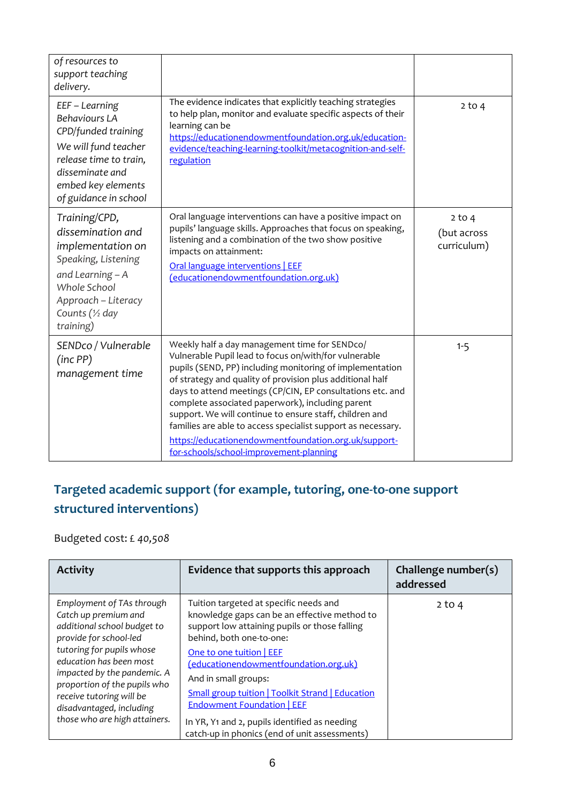| of resources to<br>support teaching<br>delivery.                                                                                                                                  |                                                                                                                                                                                                                                                                                                                                                                                                                                                                                                                                                                                 |                                        |
|-----------------------------------------------------------------------------------------------------------------------------------------------------------------------------------|---------------------------------------------------------------------------------------------------------------------------------------------------------------------------------------------------------------------------------------------------------------------------------------------------------------------------------------------------------------------------------------------------------------------------------------------------------------------------------------------------------------------------------------------------------------------------------|----------------------------------------|
| EEF - Learning<br><b>Behaviours LA</b><br>CPD/funded training<br>We will fund teacher<br>release time to train,<br>disseminate and<br>embed key elements<br>of guidance in school | The evidence indicates that explicitly teaching strategies<br>to help plan, monitor and evaluate specific aspects of their<br>learning can be<br>https://educationendowmentfoundation.org.uk/education-<br>evidence/teaching-learning-toolkit/metacognition-and-self-<br>regulation                                                                                                                                                                                                                                                                                             | $2$ to $4$                             |
| Training/CPD,<br>dissemination and<br>implementation on<br>Speaking, Listening<br>and Learning - A<br>Whole School<br>Approach - Literacy<br>Counts (1/2 day<br>training)         | Oral language interventions can have a positive impact on<br>pupils' language skills. Approaches that focus on speaking,<br>listening and a combination of the two show positive<br>impacts on attainment:<br>Oral language interventions   EEF<br>(educationendowmentfoundation.org.uk)                                                                                                                                                                                                                                                                                        | $2$ to 4<br>(but across<br>curriculum) |
| SENDco / Vulnerable<br>(inc PP)<br>management time                                                                                                                                | Weekly half a day management time for SENDco/<br>Vulnerable Pupil lead to focus on/with/for vulnerable<br>pupils (SEND, PP) including monitoring of implementation<br>of strategy and quality of provision plus additional half<br>days to attend meetings (CP/CIN, EP consultations etc. and<br>complete associated paperwork), including parent<br>support. We will continue to ensure staff, children and<br>families are able to access specialist support as necessary.<br>https://educationendowmentfoundation.org.uk/support-<br>for-schools/school-improvement-planning | $1 - 5$                                |

## **Targeted academic support (for example, tutoring, one-to-one support structured interventions)**

Budgeted cost: £ *40,508*

| <b>Activity</b>                                                                                                                                                                                                                                                                                                            | Evidence that supports this approach                                                                                                                                                                                                                                                                                                                                                                                                                               | Challenge number(s)<br>addressed |
|----------------------------------------------------------------------------------------------------------------------------------------------------------------------------------------------------------------------------------------------------------------------------------------------------------------------------|--------------------------------------------------------------------------------------------------------------------------------------------------------------------------------------------------------------------------------------------------------------------------------------------------------------------------------------------------------------------------------------------------------------------------------------------------------------------|----------------------------------|
| Employment of TAs through<br>Catch up premium and<br>additional school budget to<br>provide for school-led<br>tutoring for pupils whose<br>education has been most<br>impacted by the pandemic. A<br>proportion of the pupils who<br>receive tutoring will be<br>disadvantaged, including<br>those who are high attainers. | Tuition targeted at specific needs and<br>knowledge gaps can be an effective method to<br>support low attaining pupils or those falling<br>behind, both one-to-one:<br>One to one tuition   EEF<br>(educationendowmentfoundation.org.uk)<br>And in small groups:<br><b>Small group tuition   Toolkit Strand   Education</b><br><b>Endowment Foundation   EEF</b><br>In YR, Y1 and 2, pupils identified as needing<br>catch-up in phonics (end of unit assessments) | $2$ to 4                         |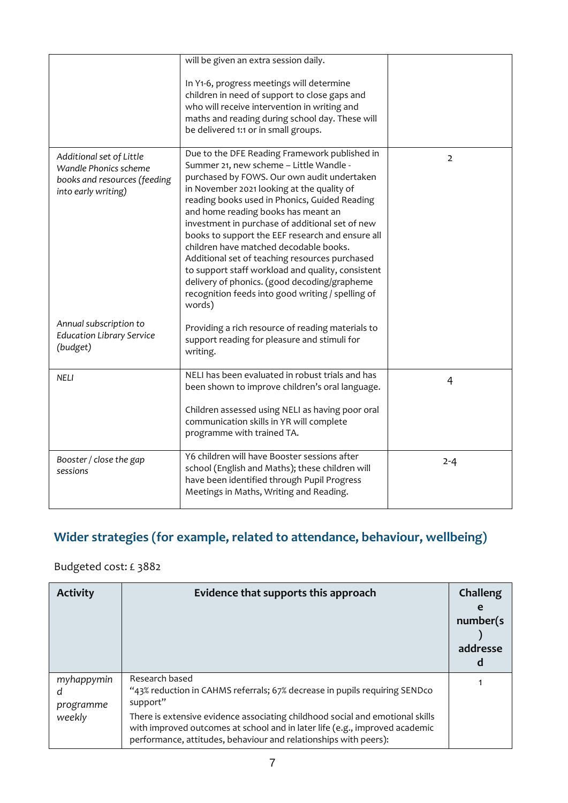|                                                                                                          | will be given an extra session daily.                                                                                                                                                                                                                                                                                                                                                                                                                                                                                                                                                                                                                |                |
|----------------------------------------------------------------------------------------------------------|------------------------------------------------------------------------------------------------------------------------------------------------------------------------------------------------------------------------------------------------------------------------------------------------------------------------------------------------------------------------------------------------------------------------------------------------------------------------------------------------------------------------------------------------------------------------------------------------------------------------------------------------------|----------------|
|                                                                                                          | In Y1-6, progress meetings will determine<br>children in need of support to close gaps and<br>who will receive intervention in writing and<br>maths and reading during school day. These will<br>be delivered 1:1 or in small groups.                                                                                                                                                                                                                                                                                                                                                                                                                |                |
| Additional set of Little<br>Wandle Phonics scheme<br>books and resources (feeding<br>into early writing) | Due to the DFE Reading Framework published in<br>Summer 21, new scheme - Little Wandle -<br>purchased by FOWS. Our own audit undertaken<br>in November 2021 looking at the quality of<br>reading books used in Phonics, Guided Reading<br>and home reading books has meant an<br>investment in purchase of additional set of new<br>books to support the EEF research and ensure all<br>children have matched decodable books.<br>Additional set of teaching resources purchased<br>to support staff workload and quality, consistent<br>delivery of phonics. (good decoding/grapheme<br>recognition feeds into good writing / spelling of<br>words) | $\overline{2}$ |
| Annual subscription to<br><b>Education Library Service</b><br>(budget)                                   | Providing a rich resource of reading materials to<br>support reading for pleasure and stimuli for<br>writing.                                                                                                                                                                                                                                                                                                                                                                                                                                                                                                                                        |                |
| NELI                                                                                                     | NELI has been evaluated in robust trials and has<br>been shown to improve children's oral language.<br>Children assessed using NELI as having poor oral<br>communication skills in YR will complete                                                                                                                                                                                                                                                                                                                                                                                                                                                  | $\overline{4}$ |
|                                                                                                          | programme with trained TA.                                                                                                                                                                                                                                                                                                                                                                                                                                                                                                                                                                                                                           |                |
| Booster / close the gap<br>sessions                                                                      | Y6 children will have Booster sessions after<br>school (English and Maths); these children will<br>have been identified through Pupil Progress<br>Meetings in Maths, Writing and Reading.                                                                                                                                                                                                                                                                                                                                                                                                                                                            | $2 - 4$        |

## **Wider strategies (for example, related to attendance, behaviour, wellbeing)**

#### Budgeted cost: £ 3882

| <b>Activity</b>              | Evidence that supports this approach                                                                                                                                                                                             | Challeng<br>e<br>number(s)<br>addresse |
|------------------------------|----------------------------------------------------------------------------------------------------------------------------------------------------------------------------------------------------------------------------------|----------------------------------------|
| myhappymin<br>d<br>programme | Research based<br>"43% reduction in CAHMS referrals; 67% decrease in pupils requiring SENDco<br>support"                                                                                                                         |                                        |
| weekly                       | There is extensive evidence associating childhood social and emotional skills<br>with improved outcomes at school and in later life (e.g., improved academic<br>performance, attitudes, behaviour and relationships with peers): |                                        |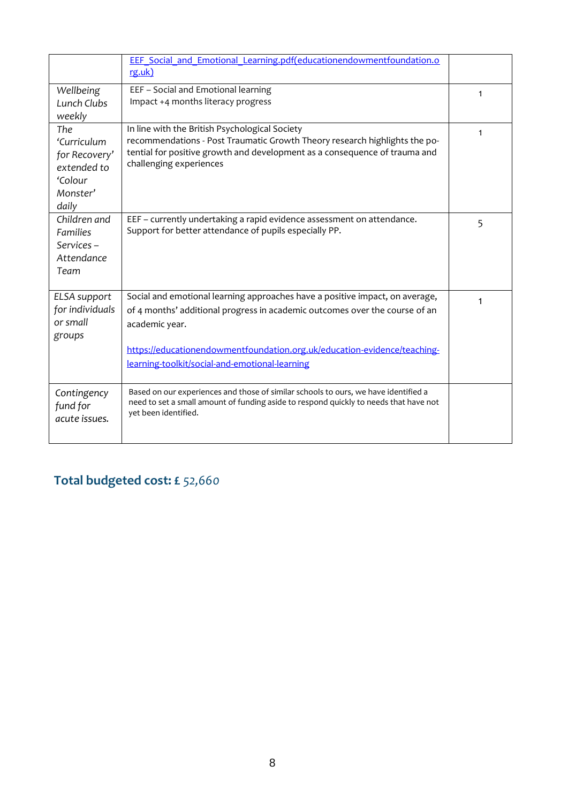|                              | EEF Social and Emotional Learning.pdf(educationendowmentfoundation.o                  |              |
|------------------------------|---------------------------------------------------------------------------------------|--------------|
|                              | rg.uk)                                                                                |              |
| Wellbeing                    | EEF - Social and Emotional learning                                                   | 1            |
| Lunch Clubs<br>weekly        | Impact +4 months literacy progress                                                    |              |
| The                          | In line with the British Psychological Society                                        |              |
| 'Curriculum                  | recommendations - Post Traumatic Growth Theory research highlights the po-            | $\mathbf{1}$ |
| for Recovery'                | tential for positive growth and development as a consequence of trauma and            |              |
| extended to                  | challenging experiences                                                               |              |
| 'Colour                      |                                                                                       |              |
| Monster'                     |                                                                                       |              |
| daily                        |                                                                                       |              |
| Children and                 | EEF - currently undertaking a rapid evidence assessment on attendance.                | 5            |
| <b>Families</b><br>Services- | Support for better attendance of pupils especially PP.                                |              |
| Attendance                   |                                                                                       |              |
| Team                         |                                                                                       |              |
|                              |                                                                                       |              |
| ELSA support                 | Social and emotional learning approaches have a positive impact, on average,          | 1            |
| for individuals              | of 4 months' additional progress in academic outcomes over the course of an           |              |
| or small                     | academic year.                                                                        |              |
| groups                       |                                                                                       |              |
|                              | https://educationendowmentfoundation.org.uk/education-evidence/teaching-              |              |
|                              | learning-toolkit/social-and-emotional-learning                                        |              |
|                              | Based on our experiences and those of similar schools to ours, we have identified a   |              |
| Contingency<br>fund for      | need to set a small amount of funding aside to respond quickly to needs that have not |              |
| acute issues.                | yet been identified.                                                                  |              |
|                              |                                                                                       |              |
|                              |                                                                                       |              |

## **Total budgeted cost: £** *52,660*